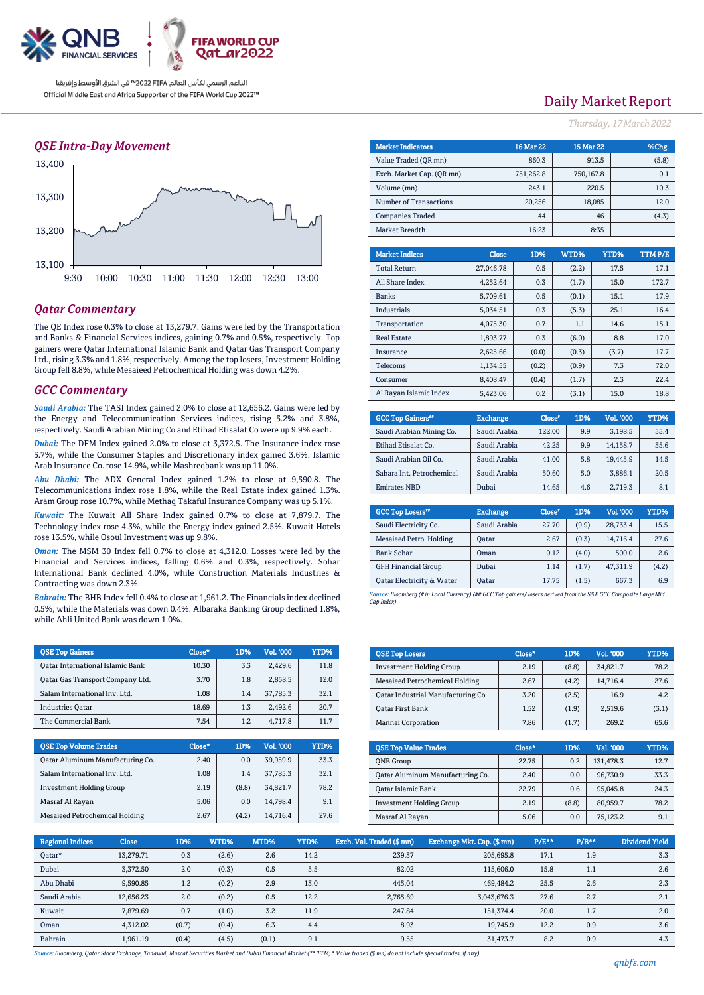

### *QSE Intra-Day Movement*



### *Qatar Commentary*

The QE Index rose 0.3% to close at 13,279.7. Gains were led by the Transportation and Banks & Financial Services indices, gaining 0.7% and 0.5%, respectively. Top gainers were Qatar International Islamic Bank and Qatar Gas Transport Company Ltd., rising 3.3% and 1.8%, respectively. Among the top losers, Investment Holding Group fell 8.8%, while Mesaieed Petrochemical Holding was down 4.2%.

#### *GCC Commentary*

*Saudi Arabia:* The TASI Index gained 2.0% to close at 12,656.2. Gains were led by the Energy and Telecommunication Services indices, rising 5.2% and 3.8%, respectively. Saudi Arabian Mining Co and Etihad Etisalat Co were up 9.9% each.

*Dubai:* The DFM Index gained 2.0% to close at 3,372.5. The Insurance index rose 5.7%, while the Consumer Staples and Discretionary index gained 3.6%. Islamic Arab Insurance Co. rose 14.9%, while Mashreqbank was up 11.0%.

*Abu Dhabi:* The ADX General Index gained 1.2% to close at 9,590.8. The Telecommunications index rose 1.8%, while the Real Estate index gained 1.3%. Aram Group rose 10.7%, while Methaq Takaful Insurance Company was up 5.1%.

*Kuwait:* The Kuwait All Share Index gained 0.7% to close at 7,879.7. The Technology index rose 4.3%, while the Energy index gained 2.5%. Kuwait Hotels rose 13.5%, while Osoul Investment was up 9.8%.

*Oman:* The MSM 30 Index fell 0.7% to close at 4,312.0. Losses were led by the Financial and Services indices, falling 0.6% and 0.3%, respectively. Sohar International Bank declined 4.0%, while Construction Materials Industries & Contracting was down 2.3%.

*Bahrain:* The BHB Index fell 0.4% to close at 1,961.2. The Financials index declined 0.5%, while the Materials was down 0.4%. Albaraka Banking Group declined 1.8%, while Ahli United Bank was down 1.0%.

| <b>QSE Top Gainers</b>           | Close* | 1D% | Vol. '000 | YTD% |
|----------------------------------|--------|-----|-----------|------|
| Oatar International Islamic Bank | 10.30  | 3.3 | 2.429.6   | 11.8 |
| Oatar Gas Transport Company Ltd. | 3.70   | 1.8 | 2.858.5   | 12.0 |
| Salam International Inv. Ltd.    | 1.08   | 1.4 | 37.785.3  | 32.1 |
| <b>Industries Oatar</b>          | 18.69  | 1.3 | 2.492.6   | 20.7 |
| The Commercial Bank              | 7.54   | 1.2 | 4.717.8   | 117  |

| <b>OSE Top Volume Trades</b>     | Close* | 1D%   | Vol. '000 | YTD% |
|----------------------------------|--------|-------|-----------|------|
| Qatar Aluminum Manufacturing Co. | 2.40   | 0.0   | 39.959.9  | 33.3 |
| Salam International Inv. Ltd.    | 1.08   | 1.4   | 37,785.3  | 32.1 |
| <b>Investment Holding Group</b>  | 2.19   | (8.8) | 34.821.7  | 78.2 |
| Masraf Al Rayan                  | 5.06   | 0.0   | 14.798.4  | 9.1  |
| Mesaieed Petrochemical Holding   | 2.67   | (4.2) | 14.716.4  | 27.6 |

# Daily Market Report

*Thursday, 17March2022*

| <b>Market Indicators</b>  | 16 Mar 22    | 15 Mar 22 | %Chg.                 |
|---------------------------|--------------|-----------|-----------------------|
| Value Traded (OR mn)      | 860.3        | 913.5     | (5.8)                 |
| Exch. Market Cap. (OR mn) | 751,262.8    | 750,167.8 | 0.1                   |
| Volume (mn)               | 243.1        | 220.5     | 10.3                  |
| Number of Transactions    | 20,256       | 18,085    | 12.0                  |
| <b>Companies Traded</b>   | 44           | 46        | (4.3)                 |
| Market Breadth            | 16:23        | 8:35      |                       |
|                           |              |           |                       |
| Market Indices            | Close<br>1D% | WTD%      | <b>TTMP/E</b><br>YTD% |

| <b>Market Indices</b>  | Close,    | 1D%   | WTD%  | YTD%  | TTM P/E |
|------------------------|-----------|-------|-------|-------|---------|
| <b>Total Return</b>    | 27.046.78 | 0.5   | (2.2) | 17.5  | 17.1    |
| All Share Index        | 4,252.64  | 0.3   | (1.7) | 15.0  | 172.7   |
| <b>Banks</b>           | 5,709.61  | 0.5   | (0.1) | 15.1  | 17.9    |
| Industrials            | 5.034.51  | 0.3   | (5.3) | 25.1  | 16.4    |
| Transportation         | 4,075.30  | 0.7   | 1.1   | 14.6  | 15.1    |
| <b>Real Estate</b>     | 1.893.77  | 0.3   | (6.0) | 8.8   | 17.0    |
| Insurance              | 2,625.66  | (0.0) | (0.3) | (3.7) | 17.7    |
| Telecoms               | 1,134.55  | (0.2) | (0.9) | 7.3   | 72.0    |
| Consumer               | 8,408.47  | (0.4) | (1.7) | 2.3   | 22.4    |
| Al Ravan Islamic Index | 5.423.06  | 0.2   | (3.1) | 15.0  | 18.8    |

| <b>GCC Top Gainers</b> "  | <b>Exchange</b> | Close* | 1D% | Vol. '000 | YTD% |
|---------------------------|-----------------|--------|-----|-----------|------|
| Saudi Arabian Mining Co.  | Saudi Arabia    | 122.00 | 9.9 | 3,198.5   | 55.4 |
| Etihad Etisalat Co.       | Saudi Arabia    | 42.25  | 9.9 | 14.158.7  | 35.6 |
| Saudi Arabian Oil Co.     | Saudi Arabia    | 41.00  | 5.8 | 19.445.9  | 14.5 |
| Sahara Int. Petrochemical | Saudi Arabia    | 50.60  | 5.0 | 3,886.1   | 20.5 |
| <b>Emirates NBD</b>       | Dubai           | 14.65  | 4.6 | 2,719.3   | 8.1  |

| <b>GCC Top Losers</b> "    | <b>Exchange</b> | Close <sup>®</sup> | 1D%   | Vol. '000 | YTD%  |
|----------------------------|-----------------|--------------------|-------|-----------|-------|
| Saudi Electricity Co.      | Saudi Arabia    | 27.70              | (9.9) | 28.733.4  | 15.5  |
| Mesaieed Petro. Holding    | Oatar           | 2.67               | (0.3) | 14.716.4  | 27.6  |
| <b>Bank Sohar</b>          | Oman            | 0.12               | (4.0) | 500.0     | 2.6   |
| <b>GFH Financial Group</b> | Dubai           | 1.14               | (1.7) | 47.311.9  | (4.2) |
| Oatar Electricity & Water  | <b>Qatar</b>    | 17.75              | (1.5) | 667.3     | 6.9   |

*Source: Bloomberg (# in Local Currency) (## GCC Top gainers/ losers derived from the S&P GCC Composite Large Mid Cap Index)*

| <b>OSE Top Losers</b>                    | Close* | 1D%   | Vol. '000 | <b>YTD%</b> |
|------------------------------------------|--------|-------|-----------|-------------|
| <b>Investment Holding Group</b>          | 2.19   | (8.8) | 34.821.7  | 78.2        |
| Mesaieed Petrochemical Holding           | 2.67   | (4.2) | 14.716.4  | 27.6        |
| <b>Qatar Industrial Manufacturing Co</b> | 3.20   | (2.5) | 16.9      | 4.2         |
| <b>Qatar First Bank</b>                  | 1.52   | (1.9) | 2,519.6   | (3.1)       |
| Mannai Corporation                       | 7.86   | (1.7) | 269.2     | 65.6        |

| <b>OSE Top Value Trades</b>      | Close* | 1D%   | Val. '000 | YTD% |
|----------------------------------|--------|-------|-----------|------|
| <b>ONB</b> Group                 | 22.75  | 0.2   | 131.478.3 | 12.7 |
| Oatar Aluminum Manufacturing Co. | 2.40   | 0.0   | 96,730.9  | 33.3 |
| Qatar Islamic Bank               | 22.79  | 0.6   | 95.045.8  | 24.3 |
| <b>Investment Holding Group</b>  | 2.19   | (8.8) | 80,959.7  | 78.2 |
| Masraf Al Rayan                  | 5.06   | 0.0   | 75,123.2  | 9.1  |

| Regional Indices | <b>Close</b> | 1D%   | WTD%  | MTD%  | YTD% | Exch. Val. Traded (\$ mn) | Exchange Mkt. Cap. (\$mn) | P/E** | $P/B**$ | Dividend Yield |
|------------------|--------------|-------|-------|-------|------|---------------------------|---------------------------|-------|---------|----------------|
| Oatar*           | 13.279.71    | 0.3   | (2.6) | 2.6   | 14.2 | 239.37                    | 205,695.8                 | 17.1  | 1.9     | 3.3            |
| Dubai            | 3.372.50     | 2.0   | (0.3) | 0.5   | 5.5  | 82.02                     | 115,606.0                 | 15.8  | 1.1     | 2.6            |
| Abu Dhabi        | 9,590.85     | 1.2   | (0.2) | 2.9   | 13.0 | 445.04                    | 469.484.2                 | 25.5  | 2.6     | 2.3            |
| Saudi Arabia     | 12,656.23    | 2.0   | (0.2) | 0.5   | 12.2 | 2,765.69                  | 3,043,676.3               | 27.6  | 2.7     | 2.1            |
| Kuwait           | 7.879.69     | 0.7   | (1.0) | 3.2   | 11.9 | 247.84                    | 151.374.4                 | 20.0  | 1.7     | 2.0            |
| Oman             | 4.312.02     | (0.7) | (0.4) | 6.3   | 4.4  | 8.93                      | 19,745.9                  | 12.2  | 0.9     | 3.6            |
| Bahrain          | 1.961.19     | (0.4) | (4.5) | (0.1) | 9.1  | 9.55                      | 31.473.7                  | 8.2   | 0.9     | 4.3            |

*Source: Bloomberg, Qatar Stock Exchange, Tadawul, Muscat Securities Market and Dubai Financial Market (\*\* TTM; \* Value traded (\$ mn) do not include special trades, if any)*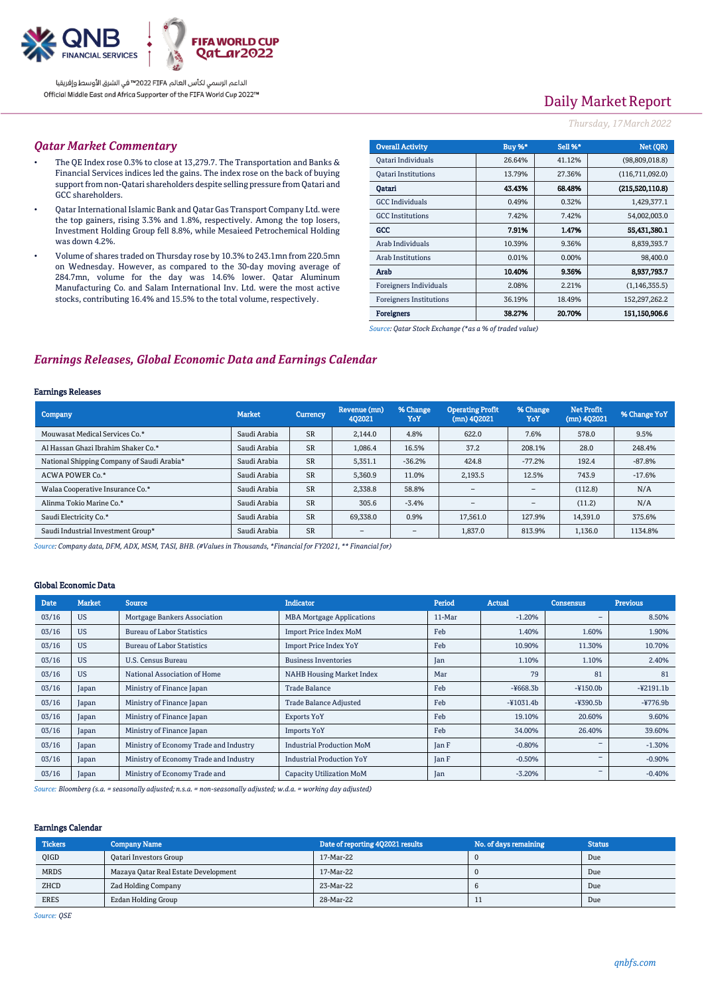

# Daily Market Report

### *Thursday, 17March2022*

#### *Qatar Market Commentary*

- The QE Index rose 0.3% to close at 13,279.7. The Transportation and Banks & Financial Services indices led the gains. The index rose on the back of buying support from non-Qatari shareholders despite selling pressure from Qatari and GCC shareholders.
- Qatar International Islamic Bank and Qatar Gas Transport Company Ltd. were the top gainers, rising 3.3% and 1.8%, respectively. Among the top losers, Investment Holding Group fell 8.8%, while Mesaieed Petrochemical Holding was down 4.2%.
- Volume of shares traded on Thursday rose by 10.3% to 243.1mn from 220.5mn on Wednesday. However, as compared to the 30-day moving average of 284.7mn, volume for the day was 14.6% lower. Qatar Aluminum Manufacturing Co. and Salam International Inv. Ltd. were the most active stocks, contributing 16.4% and 15.5% to the total volume, respectively.

| <b>Overall Activity</b>        | Buy %* | Sell %* | Net (QR)        |
|--------------------------------|--------|---------|-----------------|
| Qatari Individuals             | 26.64% | 41.12%  | (98,809,018.8)  |
| <b>Oatari Institutions</b>     | 13.79% | 27.36%  | (116,711,092.0) |
| Oatari                         | 43.43% | 68.48%  | (215,520,110.8) |
| <b>GCC</b> Individuals         | 0.49%  | 0.32%   | 1,429,377.1     |
| <b>GCC</b> Institutions        | 7.42%  | 7.42%   | 54,002,003.0    |
| GCC                            | 7.91%  | 1.47%   | 55.431.380.1    |
| Arab Individuals               | 10.39% | 9.36%   | 8,839,393.7     |
| <b>Arab Institutions</b>       | 0.01%  | 0.00%   | 98,400.0        |
| Arab                           | 10.40% | 9.36%   | 8,937,793.7     |
| Foreigners Individuals         | 2.08%  | 2.21%   | (1, 146, 355.5) |
| <b>Foreigners Institutions</b> | 36.19% | 18.49%  | 152,297,262.2   |
| <b>Foreigners</b>              | 38.27% | 20.70%  | 151.150.906.6   |

*Source: Qatar Stock Exchange (\*as a % of traded value)*

## *Earnings Releases, Global Economic Data and Earnings Calendar*

#### Earnings Releases

| Company                                    | <b>Market</b> | <b>Currency</b> | Revenue (mn)<br>402021   | % Change<br>YoY | <b>Operating Profit</b><br>(mn) 402021 | % Change<br>YoY          | <b>Net Profit</b><br>$(mn)$ 4Q2021 | % Change YoY |
|--------------------------------------------|---------------|-----------------|--------------------------|-----------------|----------------------------------------|--------------------------|------------------------------------|--------------|
| Mouwasat Medical Services Co.*             | Saudi Arabia  | <b>SR</b>       | 2,144.0                  | 4.8%            | 622.0                                  | 7.6%                     | 578.0                              | 9.5%         |
| Al Hassan Ghazi Ibrahim Shaker Co.*        | Saudi Arabia  | <b>SR</b>       | 1.086.4                  | 16.5%           | 37.2                                   | 208.1%                   | 28.0                               | 248.4%       |
| National Shipping Company of Saudi Arabia* | Saudi Arabia  | <b>SR</b>       | 5,351.1                  | $-36.2%$        | 424.8                                  | $-77.2%$                 | 192.4                              | $-87.8%$     |
| ACWA POWER Co.*                            | Saudi Arabia  | <b>SR</b>       | 5.360.9                  | 11.0%           | 2.193.5                                | 12.5%                    | 743.9                              | $-17.6%$     |
| Walaa Cooperative Insurance Co.*           | Saudi Arabia  | <b>SR</b>       | 2,338.8                  | 58.8%           | -                                      |                          | (112.8)                            | N/A          |
| Alinma Tokio Marine Co.*                   | Saudi Arabia  | <b>SR</b>       | 305.6                    | $-3.4%$         | $\qquad \qquad -$                      | $\overline{\phantom{0}}$ | (11.2)                             | N/A          |
| Saudi Electricity Co.*                     | Saudi Arabia  | <b>SR</b>       | 69.338.0                 | 0.9%            | 17.561.0                               | 127.9%                   | 14,391.0                           | 375.6%       |
| Saudi Industrial Investment Group*         | Saudi Arabia  | <b>SR</b>       | $\overline{\phantom{a}}$ | -               | 1,837.0                                | 813.9%                   | 1,136.0                            | 1134.8%      |

*Source: Company data, DFM, ADX, MSM, TASI, BHB. (#Values in Thousands, \*Financial for FY2021, \*\* Financial for)*

### Global Economic Data

| <b>Date</b> | <b>Market</b> | <b>Source</b>                          | <b>Indicator</b>                 | Period | Actual      | <b>Consensus</b>             | <b>Previous</b> |
|-------------|---------------|----------------------------------------|----------------------------------|--------|-------------|------------------------------|-----------------|
| 03/16       | <b>US</b>     | <b>Mortgage Bankers Association</b>    | <b>MBA Mortgage Applications</b> | 11-Mar | $-1.20%$    | -                            | 8.50%           |
| 03/16       | <b>US</b>     | <b>Bureau of Labor Statistics</b>      | <b>Import Price Index MoM</b>    | Feb    | 1.40%       | 1.60%                        | 1.90%           |
| 03/16       | <b>US</b>     | <b>Bureau of Labor Statistics</b>      | <b>Import Price Index YoY</b>    | Feb    | 10.90%      | 11.30%                       | 10.70%          |
| 03/16       | <b>US</b>     | U.S. Census Bureau                     | <b>Business Inventories</b>      | Jan    | 1.10%       | 1.10%                        | 2.40%           |
| 03/16       | <b>US</b>     | National Association of Home           | <b>NAHB Housing Market Index</b> | Mar    | 79          | 81                           | 81              |
| 03/16       | Japan         | Ministry of Finance Japan              | Trade Balance                    | Feb    | $-4668.3b$  | $-4150.0b$                   | $-42191.1b$     |
| 03/16       | Japan         | Ministry of Finance Japan              | <b>Trade Balance Adjusted</b>    | Feb    | $-41031.4b$ | $-4390.5b$                   | $-4776.9b$      |
| 03/16       | Japan         | Ministry of Finance Japan              | <b>Exports YoY</b>               | Feb    | 19.10%      | 20.60%                       | 9.60%           |
| 03/16       | Japan         | Ministry of Finance Japan              | <b>Imports YoY</b>               | Feb    | 34.00%      | 26.40%                       | 39.60%          |
| 03/16       | Japan         | Ministry of Economy Trade and Industry | <b>Industrial Production MoM</b> | Jan F  | $-0.80%$    | $\qquad \qquad \blacksquare$ | $-1.30%$        |
| 03/16       | Japan         | Ministry of Economy Trade and Industry | <b>Industrial Production YoY</b> | Jan F  | $-0.50%$    | -                            | $-0.90%$        |
| 03/16       | Japan         | Ministry of Economy Trade and          | <b>Capacity Utilization MoM</b>  | Jan    | $-3.20%$    | -                            | $-0.40%$        |

*Source: Bloomberg (s.a. = seasonally adjusted; n.s.a. = non-seasonally adjusted; w.d.a. = working day adjusted)*

#### Earnings Calendar

| <b>Tickers</b> | <b>Company Name</b>                  | Date of reporting 4Q2021 results | No. of days remaining | <b>Status</b> |
|----------------|--------------------------------------|----------------------------------|-----------------------|---------------|
| <b>OIGD</b>    | Oatari Investors Group               | 17-Mar-22                        |                       | Due           |
| <b>MRDS</b>    | Mazaya Qatar Real Estate Development | 17-Mar-22                        |                       | Due           |
| ZHCD           | Zad Holding Company                  | 23-Mar-22                        |                       | Due           |
| <b>ERES</b>    | Ezdan Holding Group                  | 28-Mar-22                        | 11                    | Due           |

*Source: QSE*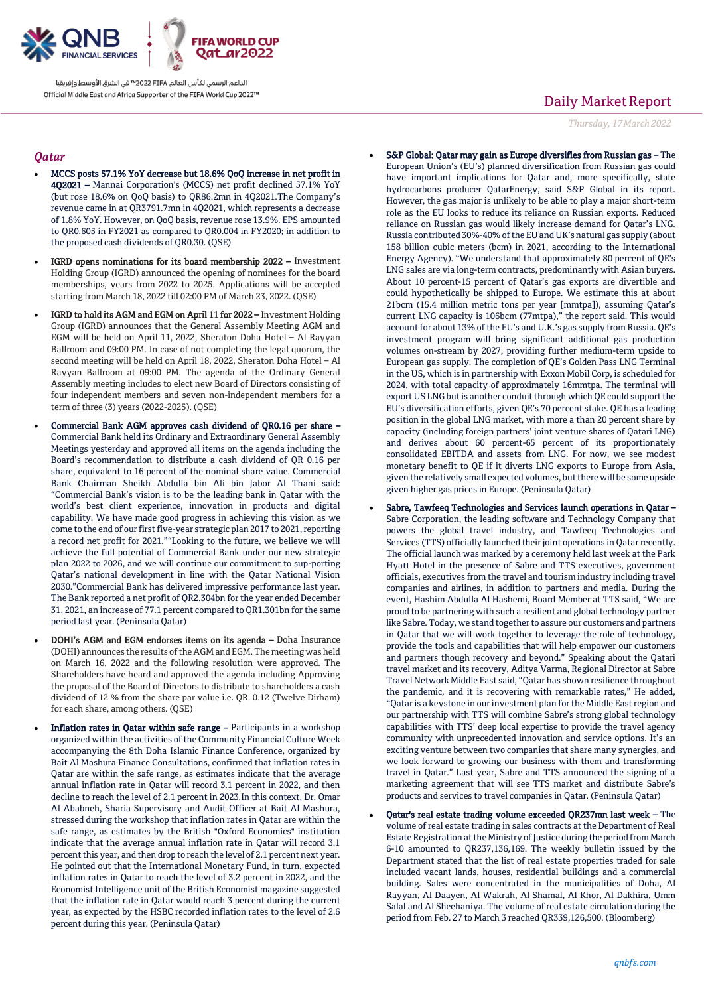

### *Qatar*

- MCCS posts 57.1% YoY decrease but 18.6% QoQ increase in net profit in 4Q2021 – Mannai Corporation's (MCCS) net profit declined 57.1% YoY (but rose 18.6% on QoQ basis) to QR86.2mn in 4Q2021.The Company's revenue came in at QR3791.7mn in 4Q2021, which represents a decrease of 1.8% YoY. However, on QoQ basis, revenue rose 13.9%. EPS amounted to QR0.605 in FY2021 as compared to QR0.004 in FY2020; in addition to the proposed cash dividends of QR0.30. (QSE)
- IGRD opens nominations for its board membership 2022 Investment Holding Group (IGRD) announced the opening of nominees for the board memberships, years from 2022 to 2025. Applications will be accepted starting from March 18, 2022 till 02:00 PM of March 23, 2022. (QSE)
- IGRD to hold its AGM and EGM on April 11 for 2022 Investment Holding Group (IGRD) announces that the General Assembly Meeting AGM and EGM will be held on April 11, 2022, Sheraton Doha Hotel – Al Rayyan Ballroom and 09:00 PM. In case of not completing the legal quorum, the second meeting will be held on April 18, 2022, Sheraton Doha Hotel – Al Rayyan Ballroom at 09:00 PM. The agenda of the Ordinary General Assembly meeting includes to elect new Board of Directors consisting of four independent members and seven non-independent members for a term of three (3) years (2022-2025). (QSE)
- Commercial Bank AGM approves cash dividend of QR0.16 per share Commercial Bank held its Ordinary and Extraordinary General Assembly Meetings yesterday and approved all items on the agenda including the Board's recommendation to distribute a cash dividend of QR 0.16 per share, equivalent to 16 percent of the nominal share value. Commercial Bank Chairman Sheikh Abdulla bin Ali bin Jabor Al Thani said: "Commercial Bank's vision is to be the leading bank in Qatar with the world's best client experience, innovation in products and digital capability. We have made good progress in achieving this vision as we come to the end of our first five-year strategic plan 2017 to 2021, reporting a record net profit for 2021.""Looking to the future, we believe we will achieve the full potential of Commercial Bank under our new strategic plan 2022 to 2026, and we will continue our commitment to sup-porting Qatar's national development in line with the Qatar National Vision 2030."Commercial Bank has delivered impressive performance last year. The Bank reported a net profit of QR2.304bn for the year ended December 31, 2021, an increase of 77.1 percent compared to QR1.301bn for the same period last year. (Peninsula Qatar)
- DOHI's AGM and EGM endorses items on its agenda Doha Insurance (DOHI) announces the results of the AGM and EGM. The meeting was held on March 16, 2022 and the following resolution were approved. The Shareholders have heard and approved the agenda including Approving the proposal of the Board of Directors to distribute to shareholders a cash dividend of 12 % from the share par value i.e. QR. 0.12 (Twelve Dirham) for each share, among others. (QSE)
- Inflation rates in Qatar within safe range Participants in a workshop organized within the activities of the Community Financial Culture Week accompanying the 8th Doha Islamic Finance Conference, organized by Bait Al Mashura Finance Consultations, confirmed that inflation rates in Qatar are within the safe range, as estimates indicate that the average annual inflation rate in Qatar will record 3.1 percent in 2022, and then decline to reach the level of 2.1 percent in 2023.In this context, Dr. Omar Al Ababneh, Sharia Supervisory and Audit Officer at Bait Al Mashura, stressed during the workshop that inflation rates in Qatar are within the safe range, as estimates by the British "Oxford Economics" institution indicate that the average annual inflation rate in Qatar will record 3.1 percent this year, and then drop to reach the level of 2.1 percent next year. He pointed out that the International Monetary Fund, in turn, expected inflation rates in Qatar to reach the level of 3.2 percent in 2022, and the Economist Intelligence unit of the British Economist magazine suggested that the inflation rate in Qatar would reach 3 percent during the current year, as expected by the HSBC recorded inflation rates to the level of 2.6 percent during this year. (Peninsula Qatar)

# Daily Market Report

*Thursday, 17March2022*

- S&P Global: Qatar may gain as Europe diversifies from Russian gas The European Union's (EU's) planned diversification from Russian gas could have important implications for Qatar and, more specifically, state hydrocarbons producer QatarEnergy, said S&P Global in its report. However, the gas major is unlikely to be able to play a major short-term role as the EU looks to reduce its reliance on Russian exports. Reduced reliance on Russian gas would likely increase demand for Qatar's LNG. Russia contributed 30%-40% of the EU and UK's natural gas supply (about 158 billion cubic meters (bcm) in 2021, according to the International Energy Agency). "We understand that approximately 80 percent of QE's LNG sales are via long-term contracts, predominantly with Asian buyers. About 10 percent-15 percent of Qatar's gas exports are divertible and could hypothetically be shipped to Europe. We estimate this at about 21bcm (15.4 million metric tons per year [mmtpa]), assuming Qatar's current LNG capacity is 106bcm (77mtpa)," the report said. This would account for about 13% of the EU's and U.K.'s gas supply from Russia. QE's investment program will bring significant additional gas production volumes on-stream by 2027, providing further medium-term upside to European gas supply. The completion of QE's Golden Pass LNG Terminal in the US, which is in partnership with Exxon Mobil Corp, is scheduled for 2024, with total capacity of approximately 16mmtpa. The terminal will export US LNG but is another conduit through which QE could support the EU's diversification efforts, given QE's 70 percent stake. QE has a leading position in the global LNG market, with more a than 20 percent share by capacity (including foreign partners' joint venture shares of Qatari LNG) and derives about 60 percent-65 percent of its proportionately consolidated EBITDA and assets from LNG. For now, we see modest monetary benefit to QE if it diverts LNG exports to Europe from Asia, given the relatively small expected volumes, but there will be some upside given higher gas prices in Europe. (Peninsula Qatar)
- Sabre, Tawfeeq Technologies and Services launch operations in Qatar Sabre Corporation, the leading software and Technology Company that powers the global travel industry, and Tawfeeq Technologies and Services (TTS) officially launched their joint operations in Qatar recently. The official launch was marked by a ceremony held last week at the Park Hyatt Hotel in the presence of Sabre and TTS executives, government officials, executives from the travel and tourism industry including travel companies and airlines, in addition to partners and media. During the event, Hashim Abdulla Al Hashemi, Board Member at TTS said, "We are proud to be partnering with such a resilient and global technology partner like Sabre. Today, we stand together to assure our customers and partners in Qatar that we will work together to leverage the role of technology, provide the tools and capabilities that will help empower our customers and partners though recovery and beyond." Speaking about the Qatari travel market and its recovery, Aditya Varma, Regional Director at Sabre Travel Network Middle East said, "Qatar has shown resilience throughout the pandemic, and it is recovering with remarkable rates," He added, "Qatar is a keystone in our investment plan for the Middle East region and our partnership with TTS will combine Sabre's strong global technology capabilities with TTS' deep local expertise to provide the travel agency community with unprecedented innovation and service options. It's an exciting venture between two companies that share many synergies, and we look forward to growing our business with them and transforming travel in Qatar." Last year, Sabre and TTS announced the signing of a marketing agreement that will see TTS market and distribute Sabre's products and services to travel companies in Qatar. (Peninsula Qatar)
- Qatar's real estate trading volume exceeded QR237mn last week The volume of real estate trading in sales contracts at the Department of Real Estate Registration at the Ministry of Justice during the period from March 6-10 amounted to QR237,136,169. The weekly bulletin issued by the Department stated that the list of real estate properties traded for sale included vacant lands, houses, residential buildings and a commercial building. Sales were concentrated in the municipalities of Doha, Al Rayyan, Al Daayen, Al Wakrah, Al Shamal, Al Khor, Al Dakhira, Umm Salal and Al Sheehaniya. The volume of real estate circulation during the period from Feb. 27 to March 3 reached QR339,126,500. (Bloomberg)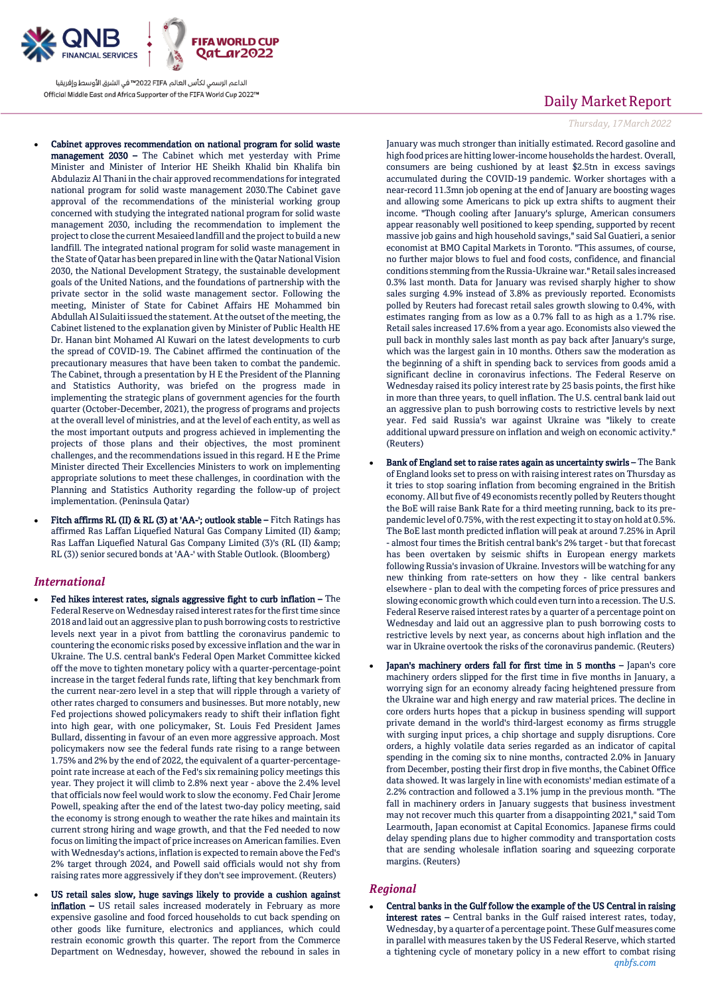

- Cabinet approves recommendation on national program for solid waste management 2030 – The Cabinet which met yesterday with Prime Minister and Minister of Interior HE Sheikh Khalid bin Khalifa bin Abdulaziz Al Thani in the chair approved recommendations for integrated national program for solid waste management 2030.The Cabinet gave approval of the recommendations of the ministerial working group concerned with studying the integrated national program for solid waste management 2030, including the recommendation to implement the project to close the current Mesaieed landfill and the project to build a new landfill. The integrated national program for solid waste management in the State of Qatar has been prepared in line with the Qatar National Vision 2030, the National Development Strategy, the sustainable development goals of the United Nations, and the foundations of partnership with the private sector in the solid waste management sector. Following the meeting, Minister of State for Cabinet Affairs HE Mohammed bin Abdullah Al Sulaiti issued the statement. At the outset of the meeting, the Cabinet listened to the explanation given by Minister of Public Health HE Dr. Hanan bint Mohamed Al Kuwari on the latest developments to curb the spread of COVID-19. The Cabinet affirmed the continuation of the precautionary measures that have been taken to combat the pandemic. The Cabinet, through a presentation by H E the President of the Planning and Statistics Authority, was briefed on the progress made in implementing the strategic plans of government agencies for the fourth quarter (October-December, 2021), the progress of programs and projects at the overall level of ministries, and at the level of each entity, as well as the most important outputs and progress achieved in implementing the projects of those plans and their objectives, the most prominent challenges, and the recommendations issued in this regard. H E the Prime Minister directed Their Excellencies Ministers to work on implementing appropriate solutions to meet these challenges, in coordination with the Planning and Statistics Authority regarding the follow-up of project implementation. (Peninsula Qatar)
- Fitch affirms RL (II) & RL (3) at 'AA-'; outlook stable Fitch Ratings has affirmed Ras Laffan Liquefied Natural Gas Company Limited (II) & amp: Ras Laffan Liquefied Natural Gas Company Limited (3)'s (RL (II) & RL (3)) senior secured bonds at 'AA-' with Stable Outlook. (Bloomberg)

### *International*

- Fed hikes interest rates, signals aggressive fight to curb inflation The Federal Reserve on Wednesday raised interest rates for the first time since 2018 and laid out an aggressive plan to push borrowing costs to restrictive levels next year in a pivot from battling the coronavirus pandemic to countering the economic risks posed by excessive inflation and the war in Ukraine. The U.S. central bank's Federal Open Market Committee kicked off the move to tighten monetary policy with a quarter-percentage-point increase in the target federal funds rate, lifting that key benchmark from the current near-zero level in a step that will ripple through a variety of other rates charged to consumers and businesses. But more notably, new Fed projections showed policymakers ready to shift their inflation fight into high gear, with one policymaker, St. Louis Fed President James Bullard, dissenting in favour of an even more aggressive approach. Most policymakers now see the federal funds rate rising to a range between 1.75% and 2% by the end of 2022, the equivalent of a quarter-percentagepoint rate increase at each of the Fed's six remaining policy meetings this year. They project it will climb to 2.8% next year - above the 2.4% level that officials now feel would work to slow the economy. Fed Chair Jerome Powell, speaking after the end of the latest two-day policy meeting, said the economy is strong enough to weather the rate hikes and maintain its current strong hiring and wage growth, and that the Fed needed to now focus on limiting the impact of price increases on American families. Even with Wednesday's actions, inflation is expected to remain above the Fed's 2% target through 2024, and Powell said officials would not shy from raising rates more aggressively if they don't see improvement. (Reuters)
- US retail sales slow, huge savings likely to provide a cushion against inflation – US retail sales increased moderately in February as more expensive gasoline and food forced households to cut back spending on other goods like furniture, electronics and appliances, which could restrain economic growth this quarter. The report from the Commerce Department on Wednesday, however, showed the rebound in sales in

## Daily Market Report

#### *Thursday, 17March2022*

January was much stronger than initially estimated. Record gasoline and high food prices are hitting lower-income households the hardest. Overall, consumers are being cushioned by at least \$2.5tn in excess savings accumulated during the COVID-19 pandemic. Worker shortages with a near-record 11.3mn job opening at the end of January are boosting wages and allowing some Americans to pick up extra shifts to augment their income. "Though cooling after January's splurge, American consumers appear reasonably well positioned to keep spending, supported by recent massive job gains and high household savings," said Sal Guatieri, a senior economist at BMO Capital Markets in Toronto. "This assumes, of course, no further major blows to fuel and food costs, confidence, and financial conditions stemming from the Russia-Ukraine war." Retail sales increased 0.3% last month. Data for January was revised sharply higher to show sales surging 4.9% instead of 3.8% as previously reported. Economists polled by Reuters had forecast retail sales growth slowing to 0.4%, with estimates ranging from as low as a 0.7% fall to as high as a 1.7% rise. Retail sales increased 17.6% from a year ago. Economists also viewed the pull back in monthly sales last month as pay back after January's surge, which was the largest gain in 10 months. Others saw the moderation as the beginning of a shift in spending back to services from goods amid a significant decline in coronavirus infections. The Federal Reserve on Wednesday raised its policy interest rate by 25 basis points, the first hike in more than three years, to quell inflation. The U.S. central bank laid out an aggressive plan to push borrowing costs to restrictive levels by next year. Fed said Russia's war against Ukraine was "likely to create additional upward pressure on inflation and weigh on economic activity." (Reuters)

- Bank of England set to raise rates again as uncertainty swirls The Bank of England looks set to press on with raising interest rates on Thursday as it tries to stop soaring inflation from becoming engrained in the British economy. All but five of 49 economists recently polled by Reuters thought the BoE will raise Bank Rate for a third meeting running, back to its prepandemic level of 0.75%, with the rest expecting it to stay on hold at 0.5%. The BoE last month predicted inflation will peak at around 7.25% in April - almost four times the British central bank's 2% target - but that forecast has been overtaken by seismic shifts in European energy markets following Russia's invasion of Ukraine. Investors will be watching for any new thinking from rate-setters on how they - like central bankers elsewhere - plan to deal with the competing forces of price pressures and slowing economic growth which could even turn into a recession. The U.S. Federal Reserve raised interest rates by a quarter of a percentage point on Wednesday and laid out an aggressive plan to push borrowing costs to restrictive levels by next year, as concerns about high inflation and the war in Ukraine overtook the risks of the coronavirus pandemic. (Reuters)
- Japan's machinery orders fall for first time in 5 months Japan's core machinery orders slipped for the first time in five months in January, a worrying sign for an economy already facing heightened pressure from the Ukraine war and high energy and raw material prices. The decline in core orders hurts hopes that a pickup in business spending will support private demand in the world's third-largest economy as firms struggle with surging input prices, a chip shortage and supply disruptions. Core orders, a highly volatile data series regarded as an indicator of capital spending in the coming six to nine months, contracted 2.0% in January from December, posting their first drop in five months, the Cabinet Office data showed. It was largely in line with economists' median estimate of a 2.2% contraction and followed a 3.1% jump in the previous month. "The fall in machinery orders in January suggests that business investment may not recover much this quarter from a disappointing 2021," said Tom Learmouth, Japan economist at Capital Economics. Japanese firms could delay spending plans due to higher commodity and transportation costs that are sending wholesale inflation soaring and squeezing corporate margins. (Reuters)

### *Regional*

*qnbfs.com* Central banks in the Gulf follow the example of the US Central in raising interest rates – Central banks in the Gulf raised interest rates, today, Wednesday, by a quarter of a percentage point. These Gulf measures come in parallel with measures taken by the US Federal Reserve, which started a tightening cycle of monetary policy in a new effort to combat rising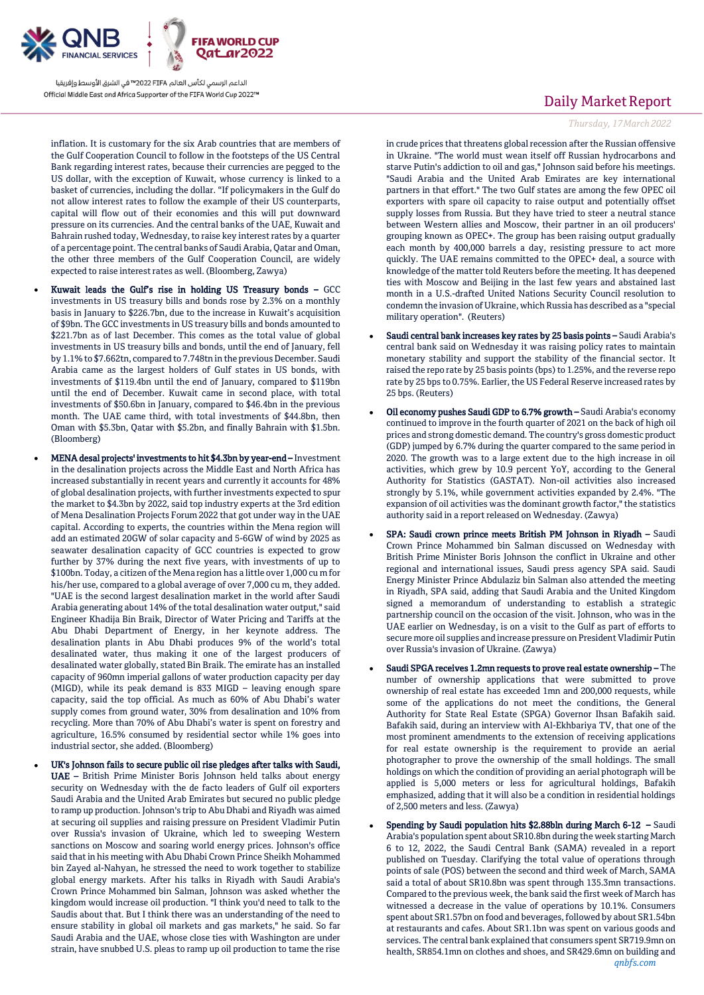

inflation. It is customary for the six Arab countries that are members of the Gulf Cooperation Council to follow in the footsteps of the US Central Bank regarding interest rates, because their currencies are pegged to the US dollar, with the exception of Kuwait, whose currency is linked to a basket of currencies, including the dollar. "If policymakers in the Gulf do not allow interest rates to follow the example of their US counterparts, capital will flow out of their economies and this will put downward pressure on its currencies. And the central banks of the UAE, Kuwait and Bahrain rushed today, Wednesday, to raise key interest rates by a quarter of a percentage point. The central banks of Saudi Arabia, Qatar and Oman, the other three members of the Gulf Cooperation Council, are widely expected to raise interest rates as well. (Bloomberg, Zawya)

- Kuwait leads the Gulf's rise in holding US Treasury bonds GCC investments in US treasury bills and bonds rose by 2.3% on a monthly basis in January to \$226.7bn, due to the increase in Kuwait's acquisition of \$9bn. The GCC investments in US treasury bills and bonds amounted to \$221.7bn as of last December. This comes as the total value of global investments in US treasury bills and bonds, until the end of January, fell by 1.1% to \$7.662tn, compared to 7.748tn in the previous December. Saudi Arabia came as the largest holders of Gulf states in US bonds, with investments of \$119.4bn until the end of January, compared to \$119bn until the end of December. Kuwait came in second place, with total investments of \$50.6bn in January, compared to \$46.4bn in the previous month. The UAE came third, with total investments of \$44.8bn, then Oman with \$5.3bn, Qatar with \$5.2bn, and finally Bahrain with \$1.5bn. (Bloomberg)
	- MENA desal projects' investments to hit \$4.3bn by year-end Investment in the desalination projects across the Middle East and North Africa has increased substantially in recent years and currently it accounts for 48% of global desalination projects, with further investments expected to spur the market to \$4.3bn by 2022, said top industry experts at the 3rd edition of Mena Desalination Projects Forum 2022 that got under way in the UAE capital. According to experts, the countries within the Mena region will add an estimated 20GW of solar capacity and 5-6GW of wind by 2025 as seawater desalination capacity of GCC countries is expected to grow further by 37% during the next five years, with investments of up to \$100bn. Today, a citizen of the Mena region has a little over 1,000 cu m for his/her use, compared to a global average of over 7,000 cu m, they added. "UAE is the second largest desalination market in the world after Saudi Arabia generating about 14% of the total desalination water output," said Engineer Khadija Bin Braik, Director of Water Pricing and Tariffs at the Abu Dhabi Department of Energy, in her keynote address. The desalination plants in Abu Dhabi produces 9% of the world's total desalinated water, thus making it one of the largest producers of desalinated water globally, stated Bin Braik. The emirate has an installed capacity of 960mn imperial gallons of water production capacity per day (MIGD), while its peak demand is 833 MIGD – leaving enough spare capacity, said the top official. As much as 60% of Abu Dhabi's water supply comes from ground water, 30% from desalination and 10% from recycling. More than 70% of Abu Dhabi's water is spent on forestry and agriculture, 16.5% consumed by residential sector while 1% goes into industrial sector, she added. (Bloomberg)
- UK's Johnson fails to secure public oil rise pledges after talks with Saudi, UAE – British Prime Minister Boris Johnson held talks about energy security on Wednesday with the de facto leaders of Gulf oil exporters Saudi Arabia and the United Arab Emirates but secured no public pledge to ramp up production. Johnson's trip to Abu Dhabi and Riyadh was aimed at securing oil supplies and raising pressure on President Vladimir Putin over Russia's invasion of Ukraine, which led to sweeping Western sanctions on Moscow and soaring world energy prices. Johnson's office said that in his meeting with Abu Dhabi Crown Prince Sheikh Mohammed bin Zayed al-Nahyan, he stressed the need to work together to stabilize global energy markets. After his talks in Riyadh with Saudi Arabia's Crown Prince Mohammed bin Salman, Johnson was asked whether the kingdom would increase oil production. "I think you'd need to talk to the Saudis about that. But I think there was an understanding of the need to ensure stability in global oil markets and gas markets," he said. So far Saudi Arabia and the UAE, whose close ties with Washington are under strain, have snubbed U.S. pleas to ramp up oil production to tame the rise

## Daily Market Report

*Thursday, 17March2022*

in crude prices that threatens global recession after the Russian offensive in Ukraine. "The world must wean itself off Russian hydrocarbons and starve Putin's addiction to oil and gas," Johnson said before his meetings. "Saudi Arabia and the United Arab Emirates are key international partners in that effort." The two Gulf states are among the few OPEC oil exporters with spare oil capacity to raise output and potentially offset supply losses from Russia. But they have tried to steer a neutral stance between Western allies and Moscow, their partner in an oil producers' grouping known as OPEC+. The group has been raising output gradually each month by 400,000 barrels a day, resisting pressure to act more quickly. The UAE remains committed to the OPEC+ deal, a source with knowledge of the matter told Reuters before the meeting. It has deepened ties with Moscow and Beijing in the last few years and abstained last month in a U.S.-drafted United Nations Security Council resolution to condemn the invasion of Ukraine, which Russia has described as a "special military operation". (Reuters)

- Saudi central bank increases key rates by 25 basis points Saudi Arabia's central bank said on Wednesday it was raising policy rates to maintain monetary stability and support the stability of the financial sector. It raised the repo rate by 25 basis points (bps) to 1.25%, and the reverse repo rate by 25 bps to 0.75%. Earlier, the US Federal Reserve increased rates by 25 bps. (Reuters)
- Oil economy pushes Saudi GDP to 6.7% growth Saudi Arabia's economy continued to improve in the fourth quarter of 2021 on the back of high oil prices and strong domestic demand. The country's gross domestic product (GDP) jumped by 6.7% during the quarter compared to the same period in 2020. The growth was to a large extent due to the high increase in oil activities, which grew by 10.9 percent YoY, according to the General Authority for Statistics (GASTAT). Non-oil activities also increased strongly by 5.1%, while government activities expanded by 2.4%. "The expansion of oil activities was the dominant growth factor," the statistics authority said in a report released on Wednesday. (Zawya)
- SPA: Saudi crown prince meets British PM Johnson in Riyadh Saudi Crown Prince Mohammed bin Salman discussed on Wednesday with British Prime Minister Boris Johnson the conflict in Ukraine and other regional and international issues, Saudi press agency SPA said. Saudi Energy Minister Prince Abdulaziz bin Salman also attended the meeting in Riyadh, SPA said, adding that Saudi Arabia and the United Kingdom signed a memorandum of understanding to establish a strategic partnership council on the occasion of the visit. Johnson, who was in the UAE earlier on Wednesday, is on a visit to the Gulf as part of efforts to secure more oil supplies and increase pressure on President Vladimir Putin over Russia's invasion of Ukraine. (Zawya)
- Saudi SPGA receives 1.2mn requests to prove real estate ownership The number of ownership applications that were submitted to prove ownership of real estate has exceeded 1mn and 200,000 requests, while some of the applications do not meet the conditions, the General Authority for State Real Estate (SPGA) Governor Ihsan Bafakih said. Bafakih said, during an interview with Al-Ekhbariya TV, that one of the most prominent amendments to the extension of receiving applications for real estate ownership is the requirement to provide an aerial photographer to prove the ownership of the small holdings. The small holdings on which the condition of providing an aerial photograph will be applied is 5,000 meters or less for agricultural holdings, Bafakih emphasized, adding that it will also be a condition in residential holdings of 2,500 meters and less. (Zawya)
- *qnbfs.com* Spending by Saudi population hits \$2.88bln during March 6-12 – Saudi Arabia's population spent about SR10.8bn during the week starting March 6 to 12, 2022, the Saudi Central Bank (SAMA) revealed in a report published on Tuesday. Clarifying the total value of operations through points of sale (POS) between the second and third week of March, SAMA said a total of about SR10.8bn was spent through 135.3mn transactions. Compared to the previous week, the bank said the first week of March has witnessed a decrease in the value of operations by 10.1%. Consumers spent about SR1.57bn on food and beverages, followed by about SR1.54bn at restaurants and cafes. About SR1.1bn was spent on various goods and services. The central bank explained that consumers spent SR719.9mn on health, SR854.1mn on clothes and shoes, and SR429.6mn on building and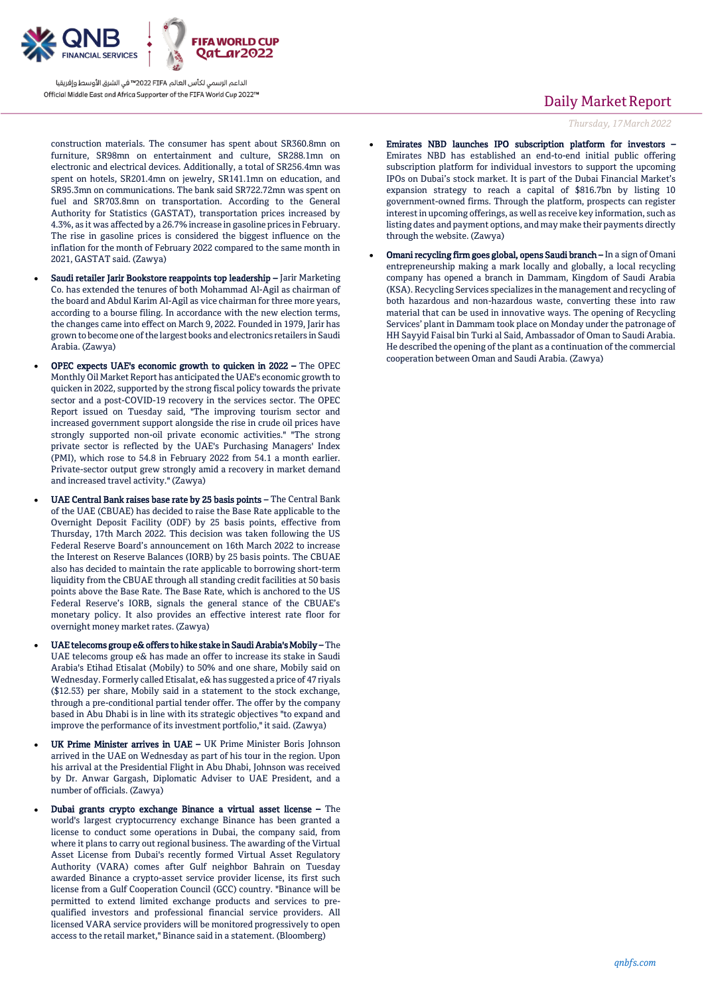

construction materials. The consumer has spent about SR360.8mn on furniture, SR98mn on entertainment and culture, SR288.1mn on electronic and electrical devices. Additionally, a total of SR256.4mn was spent on hotels, SR201.4mn on jewelry, SR141.1mn on education, and SR95.3mn on communications. The bank said SR722.72mn was spent on fuel and SR703.8mn on transportation. According to the General Authority for Statistics (GASTAT), transportation prices increased by 4.3%, as it was affected by a 26.7% increase in gasoline prices in February. The rise in gasoline prices is considered the biggest influence on the inflation for the month of February 2022 compared to the same month in 2021, GASTAT said. (Zawya)

- Saudi retailer Jarir Bookstore reappoints top leadership Jarir Marketing Co. has extended the tenures of both Mohammad Al-Agil as chairman of the board and Abdul Karim Al-Agil as vice chairman for three more years, according to a bourse filing. In accordance with the new election terms, the changes came into effect on March 9, 2022. Founded in 1979, Jarir has grown to become one of the largest books and electronics retailers in Saudi Arabia. (Zawya)
- OPEC expects UAE's economic growth to quicken in 2022 The OPEC Monthly Oil Market Report has anticipated the UAE's economic growth to quicken in 2022, supported by the strong fiscal policy towards the private sector and a post-COVID-19 recovery in the services sector. The OPEC Report issued on Tuesday said, "The improving tourism sector and increased government support alongside the rise in crude oil prices have strongly supported non-oil private economic activities." "The strong private sector is reflected by the UAE's Purchasing Managers' Index (PMI), which rose to 54.8 in February 2022 from 54.1 a month earlier. Private-sector output grew strongly amid a recovery in market demand and increased travel activity." (Zawya)
- UAE Central Bank raises base rate by 25 basis points The Central Bank of the UAE (CBUAE) has decided to raise the Base Rate applicable to the Overnight Deposit Facility (ODF) by 25 basis points, effective from Thursday, 17th March 2022. This decision was taken following the US Federal Reserve Board's announcement on 16th March 2022 to increase the Interest on Reserve Balances (IORB) by 25 basis points. The CBUAE also has decided to maintain the rate applicable to borrowing short-term liquidity from the CBUAE through all standing credit facilities at 50 basis points above the Base Rate. The Base Rate, which is anchored to the US Federal Reserve's IORB, signals the general stance of the CBUAE's monetary policy. It also provides an effective interest rate floor for overnight money market rates. (Zawya)
- UAE telecoms group e& offers to hike stake in Saudi Arabia's Mobily The UAE telecoms group e& has made an offer to increase its stake in Saudi Arabia's Etihad Etisalat (Mobily) to 50% and one share, Mobily said on Wednesday. Formerly called Etisalat, e& has suggested a price of 47 riyals (\$12.53) per share, Mobily said in a statement to the stock exchange, through a pre-conditional partial tender offer. The offer by the company based in Abu Dhabi is in line with its strategic objectives "to expand and improve the performance of its investment portfolio," it said. (Zawya)
- UK Prime Minister arrives in UAE UK Prime Minister Boris Johnson arrived in the UAE on Wednesday as part of his tour in the region. Upon his arrival at the Presidential Flight in Abu Dhabi, Johnson was received by Dr. Anwar Gargash, Diplomatic Adviser to UAE President, and a number of officials. (Zawya)
- Dubai grants crypto exchange Binance a virtual asset license The world's largest cryptocurrency exchange Binance has been granted a license to conduct some operations in Dubai, the company said, from where it plans to carry out regional business. The awarding of the Virtual Asset License from Dubai's recently formed Virtual Asset Regulatory Authority (VARA) comes after Gulf neighbor Bahrain on Tuesday awarded Binance a crypto-asset service provider license, its first such license from a Gulf Cooperation Council (GCC) country. "Binance will be permitted to extend limited exchange products and services to prequalified investors and professional financial service providers. All licensed VARA service providers will be monitored progressively to open access to the retail market," Binance said in a statement. (Bloomberg)

# Daily Market Report

*Thursday, 17March2022*

- Emirates NBD launches IPO subscription platform for investors Emirates NBD has established an end-to-end initial public offering subscription platform for individual investors to support the upcoming IPOs on Dubai's stock market. It is part of the Dubai Financial Market's expansion strategy to reach a capital of \$816.7bn by listing 10 government-owned firms. Through the platform, prospects can register interest in upcoming offerings, as well as receive key information, such as listing dates and payment options, and may make their payments directly through the website. (Zawya)
- Omani recycling firm goes global, opens Saudi branch In a sign of Omani entrepreneurship making a mark locally and globally, a local recycling company has opened a branch in Dammam, Kingdom of Saudi Arabia (KSA). Recycling Services specializes in the management and recycling of both hazardous and non-hazardous waste, converting these into raw material that can be used in innovative ways. The opening of Recycling Services' plant in Dammam took place on Monday under the patronage of HH Sayyid Faisal bin Turki al Said, Ambassador of Oman to Saudi Arabia. He described the opening of the plant as a continuation of the commercial cooperation between Oman and Saudi Arabia. (Zawya)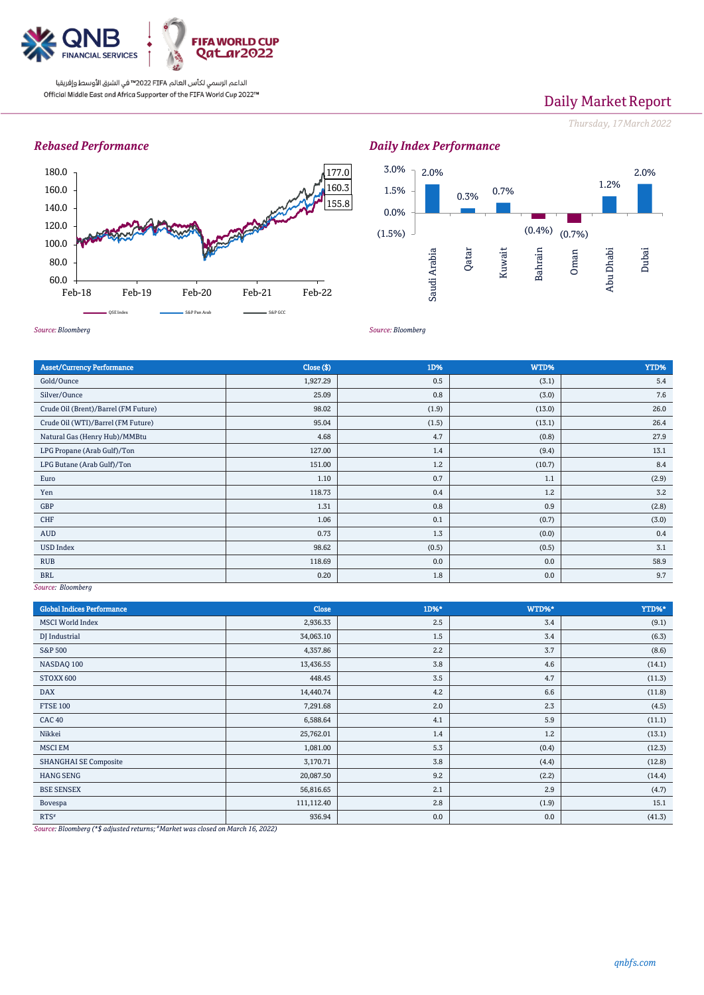

# Daily Market Report

*Thursday, 17March2022*

## *Rebased Performance*





*Source: Bloomberg*

Asset/Currency Performance Close (\$) 1D% WTD% YTD% Gold/Ounce  $1,927.29$   $0.5$   $0.5$   $(3.1)$   $5.4$ Silver/Ounce  $\hskip 1.0cm \left. 25.09 \right. \left. 25.09 \right. \left. 25.09 \right. \left. 25.09 \right. \left. 25.09 \right. \left. 25.09 \right. \left. 25.09 \right. \left. 25.09 \right. \left. 25.09 \right. \left. 25.09 \right. \left. 25.09 \right. \left. 25.09 \right. \left. 25.09 \right. \left. 25.09 \right. \left. 25.09 \right. \left. 25.09 \right. \left. 25.$ Crude Oil (Brent)/Barrel (FM Future) 98.02 (1.9) (13.0) 26.0 Crude Oil (WTI)/Barrel (FM Future) 95.04 (1.5) (13.1) 26.4 Natural Gas (Henry Hub)/MMBtu 27.9 (0.8) 27.9 LPG Propane (Arab Gulf)/Ton 127.00 127.00 1.4 (9.4) 13.1 LPG Butane (Arab Gulf)/Ton 8.4 (10.7) 8.4 Euro  $1.10$   $0.7$   $1.1$   $1.1$   $1.1$   $1.1$   $1.2$   $1.1$   $1.1$   $1.1$   $1.1$   $1.2$   $1.1$   $1.1$   $1.2$   $1.1$   $1.1$   $1.2$   $1.1$   $1.1$   $1.1$   $1.1$   $1.1$   $1.1$   $1.1$   $1.1$   $1.1$   $1.1$   $1.1$   $1.1$   $1.1$   $1.1$   $1.1$   $1.1$   $1.1$   $1.1$ Yen  $118.73$   $0.4$   $1.2$   $1.2$   $3.2$ GBP  $1.31$   $0.8$   $0.9$   $0.9$   $(2.8)$ CHF  $0.7$  (3.0) (3.0) (3.0) (3.0) (3.0) (3.0) (3.0) (3.0) (3.0) (3.0) (3.0) (3.0) (3.0) (3.0) (3.0) (3.0) (3.0) (3.0) (3.0) (3.0) (3.0) (3.0) (3.0) (3.0) (3.0) (3.0) (3.0) (3.0) (3.0) (3.0) (3.0) (3.0) (3.0) (3.0) (3.0) ( AUD  $0.73$   $0.3$   $1.3$   $0.0$   $0.0$   $0.4$ USD Index  $98.62$   $(0.5)$   $(0.5)$   $(0.5)$   $(0.5)$   $(0.5)$   $(0.5)$ RUB 118.69  $\vert$  58.9  $\vert$  58.9  $\vert$  58.9  $\vert$  58.9  $\vert$  58.9  $\vert$  58.9  $\vert$  58.9  $\vert$  58.9  $\vert$  58.9  $\vert$  58.9  $\vert$  58.9  $\vert$  58.9  $\vert$  58.9  $\vert$  58.9  $\vert$  58.9  $\vert$  58.9  $\vert$  58.9  $\vert$  58.9  $\vert$  58.9  $\vert$  58.9  $\vert$  58.9 BRL  $0.20$   $0.20$   $1.8$   $0.0$   $0.0$   $9.7$ 

*Source: Bloomberg*

*Source: Bloomberg*

| <b>Global Indices Performance</b>                                                                                                            | Close                                                                                                                      | 1D%* | WTD%* | YTD%*  |
|----------------------------------------------------------------------------------------------------------------------------------------------|----------------------------------------------------------------------------------------------------------------------------|------|-------|--------|
| <b>MSCI World Index</b>                                                                                                                      | 2,936.33                                                                                                                   | 2.5  | 3.4   | (9.1)  |
| DJ Industrial                                                                                                                                | 34,063.10                                                                                                                  | 1.5  | 3.4   | (6.3)  |
| <b>S&amp;P 500</b>                                                                                                                           | 4,357.86                                                                                                                   | 2.2  | 3.7   | (8.6)  |
| NASDAQ 100                                                                                                                                   | 13,436.55                                                                                                                  | 3.8  | 4.6   | (14.1) |
| STOXX 600                                                                                                                                    | 448.45                                                                                                                     | 3.5  | 4.7   | (11.3) |
| <b>DAX</b>                                                                                                                                   | 14,440.74                                                                                                                  | 4.2  | 6.6   | (11.8) |
| <b>FTSE 100</b>                                                                                                                              | 7,291.68                                                                                                                   | 2.0  | 2.3   | (4.5)  |
| <b>CAC 40</b>                                                                                                                                | 6,588.64                                                                                                                   | 4.1  | 5.9   | (11.1) |
| Nikkei                                                                                                                                       | 25,762.01                                                                                                                  | 1.4  | 1.2   | (13.1) |
| <b>MSCI EM</b>                                                                                                                               | 1,081.00                                                                                                                   | 5.3  | (0.4) | (12.3) |
| <b>SHANGHAI SE Composite</b>                                                                                                                 | 3,170.71                                                                                                                   | 3.8  | (4.4) | (12.8) |
| <b>HANG SENG</b>                                                                                                                             | 20,087.50                                                                                                                  | 9.2  | (2.2) | (14.4) |
| <b>BSE SENSEX</b>                                                                                                                            | 56,816.65                                                                                                                  | 2.1  | 2.9   | (4.7)  |
| Bovespa                                                                                                                                      | 111,112.40                                                                                                                 | 2.8  | (1.9) | 15.1   |
| $RTS^*$<br>the contract of the contract of the contract of the contract of the contract of the contract of the contract of<br><b>Bandara</b> | 936.94<br>in the state of the company of the state of the state of the state of the state of the state of the state of the | 0.0  | 0.0   | (41.3) |

*Source: Bloomberg (\*\$ adjusted returns; #Market was closed on March 16, 2022)*